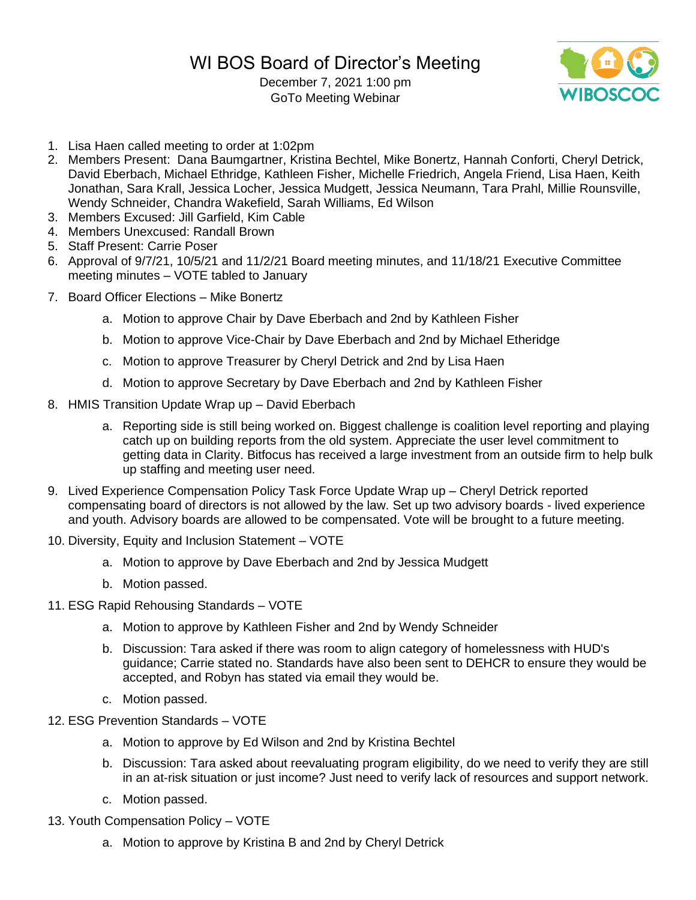December 7, 2021 1:00 pm GoTo Meeting Webinar



- 1. Lisa Haen called meeting to order at 1:02pm
- 2. Members Present: Dana Baumgartner, Kristina Bechtel, Mike Bonertz, Hannah Conforti, Cheryl Detrick, David Eberbach, Michael Ethridge, Kathleen Fisher, Michelle Friedrich, Angela Friend, Lisa Haen, Keith Jonathan, Sara Krall, Jessica Locher, Jessica Mudgett, Jessica Neumann, Tara Prahl, Millie Rounsville, Wendy Schneider, Chandra Wakefield, Sarah Williams, Ed Wilson
- 3. Members Excused: Jill Garfield, Kim Cable
- 4. Members Unexcused: Randall Brown
- 5. Staff Present: Carrie Poser
- 6. Approval of 9/7/21, 10/5/21 and 11/2/21 Board meeting minutes, and 11/18/21 Executive Committee meeting minutes – VOTE tabled to January
- 7. Board Officer Elections Mike Bonertz
	- a. Motion to approve Chair by Dave Eberbach and 2nd by Kathleen Fisher
	- b. Motion to approve Vice-Chair by Dave Eberbach and 2nd by Michael Etheridge
	- c. Motion to approve Treasurer by Cheryl Detrick and 2nd by Lisa Haen
	- d. Motion to approve Secretary by Dave Eberbach and 2nd by Kathleen Fisher
- 8. HMIS Transition Update Wrap up David Eberbach
	- a. Reporting side is still being worked on. Biggest challenge is coalition level reporting and playing catch up on building reports from the old system. Appreciate the user level commitment to getting data in Clarity. Bitfocus has received a large investment from an outside firm to help bulk up staffing and meeting user need.
- 9. Lived Experience Compensation Policy Task Force Update Wrap up Cheryl Detrick reported compensating board of directors is not allowed by the law. Set up two advisory boards - lived experience and youth. Advisory boards are allowed to be compensated. Vote will be brought to a future meeting.
- 10. Diversity, Equity and Inclusion Statement VOTE
	- a. Motion to approve by Dave Eberbach and 2nd by Jessica Mudgett
	- b. Motion passed.
- 11. ESG Rapid Rehousing Standards VOTE
	- a. Motion to approve by Kathleen Fisher and 2nd by Wendy Schneider
	- b. Discussion: Tara asked if there was room to align category of homelessness with HUD's guidance; Carrie stated no. Standards have also been sent to DEHCR to ensure they would be accepted, and Robyn has stated via email they would be.
	- c. Motion passed.
- 12. ESG Prevention Standards VOTE
	- a. Motion to approve by Ed Wilson and 2nd by Kristina Bechtel
	- b. Discussion: Tara asked about reevaluating program eligibility, do we need to verify they are still in an at-risk situation or just income? Just need to verify lack of resources and support network.
	- c. Motion passed.
- 13. Youth Compensation Policy VOTE
	- a. Motion to approve by Kristina B and 2nd by Cheryl Detrick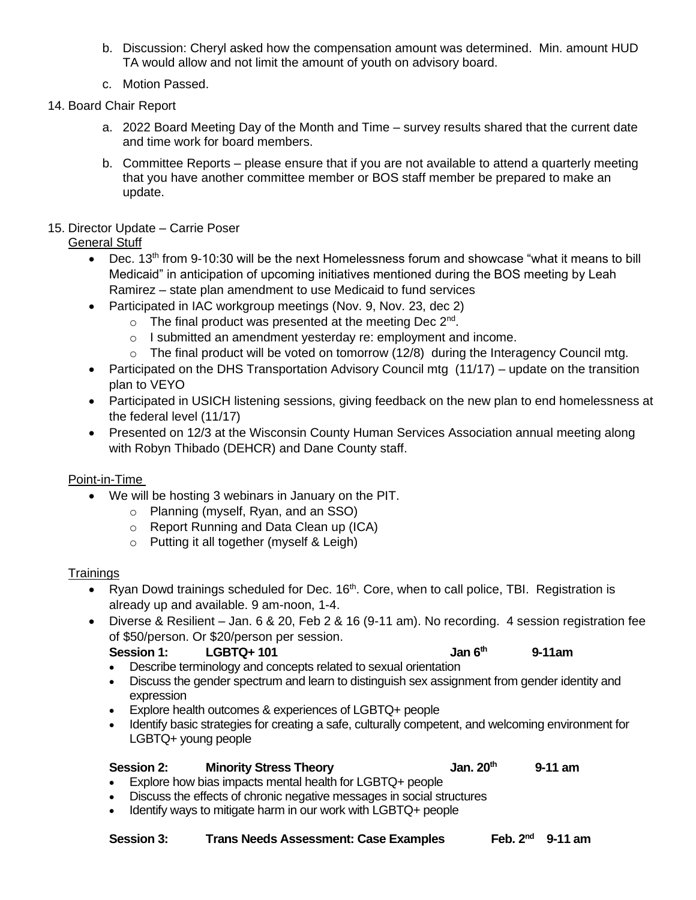- b. Discussion: Cheryl asked how the compensation amount was determined. Min. amount HUD TA would allow and not limit the amount of youth on advisory board.
- c. Motion Passed.
- 14. Board Chair Report
	- a. 2022 Board Meeting Day of the Month and Time survey results shared that the current date and time work for board members.
	- b. Committee Reports please ensure that if you are not available to attend a quarterly meeting that you have another committee member or BOS staff member be prepared to make an update.
- 15. Director Update Carrie Poser

# General Stuff

- Dec. 13<sup>th</sup> from 9-10:30 will be the next Homelessness forum and showcase "what it means to bill Medicaid" in anticipation of upcoming initiatives mentioned during the BOS meeting by Leah Ramirez – state plan amendment to use Medicaid to fund services
- Participated in IAC workgroup meetings (Nov. 9, Nov. 23, dec 2)
	- $\circ$  The final product was presented at the meeting Dec 2<sup>nd</sup>.
	- o I submitted an amendment yesterday re: employment and income.
	- $\circ$  The final product will be voted on tomorrow (12/8) during the Interagency Council mtg.
- Participated on the DHS Transportation Advisory Council mtg (11/17) update on the transition plan to VEYO
- Participated in USICH listening sessions, giving feedback on the new plan to end homelessness at the federal level (11/17)
- Presented on 12/3 at the Wisconsin County Human Services Association annual meeting along with Robyn Thibado (DEHCR) and Dane County staff.

# Point-in-Time

- We will be hosting 3 webinars in January on the PIT.
	- o Planning (myself, Ryan, and an SSO)
	- o Report Running and Data Clean up (ICA)
	- o Putting it all together (myself & Leigh)

# **Trainings**

- Ryan Dowd trainings scheduled for Dec.  $16<sup>th</sup>$ . Core, when to call police, TBI. Registration is already up and available. 9 am-noon, 1-4.
- Diverse & Resilient Jan. 6 & 20, Feb 2 & 16 (9-11 am). No recording. 4 session registration fee of \$50/person. Or \$20/person per session.

#### **Session 1: LGBTQ+ 101 Jan 6th 9-11am**

- Describe terminology and concepts related to sexual orientation
- Discuss the gender spectrum and learn to distinguish sex assignment from gender identity and expression
- Explore health outcomes & experiences of LGBTQ+ people
- Identify basic strategies for creating a safe, culturally competent, and welcoming environment for LGBTQ+ young people

# **Session 2: Minority Stress Theory Jan. 20th 9-11 am**

- Explore how bias impacts mental health for LGBTQ+ people • Discuss the effects of chronic negative messages in social structures
- Identify ways to mitigate harm in our work with LGBTQ+ people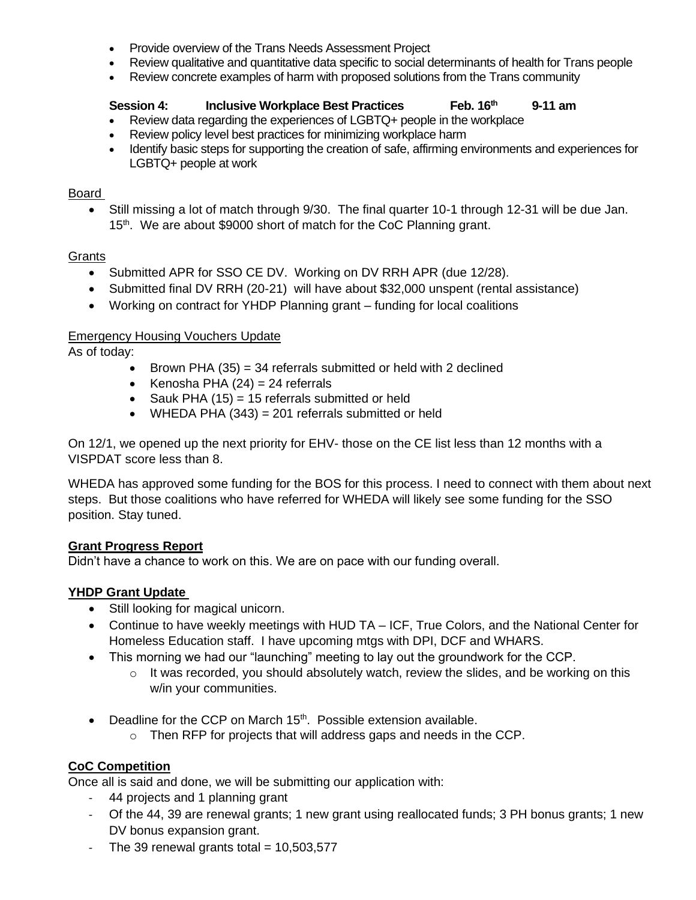- Provide overview of the Trans Needs Assessment Project
- Review qualitative and quantitative data specific to social determinants of health for Trans people
- Review concrete examples of harm with proposed solutions from the Trans community

#### **Session 4: Inclusive Workplace Best Practices Feb. 16th 9-11 am**

- Review data regarding the experiences of LGBTQ+ people in the workplace
- Review policy level best practices for minimizing workplace harm
- Identify basic steps for supporting the creation of safe, affirming environments and experiences for LGBTQ+ people at work

#### Board

• Still missing a lot of match through 9/30. The final quarter 10-1 through 12-31 will be due Jan. 15<sup>th</sup>. We are about \$9000 short of match for the CoC Planning grant.

# **Grants**

- Submitted APR for SSO CE DV. Working on DV RRH APR (due 12/28).
- Submitted final DV RRH (20-21) will have about \$32,000 unspent (rental assistance)
- Working on contract for YHDP Planning grant funding for local coalitions

## Emergency Housing Vouchers Update

As of today:

- Brown PHA  $(35) = 34$  referrals submitted or held with 2 declined
- Kenosha PHA  $(24) = 24$  referrals
- Sauk PHA  $(15) = 15$  referrals submitted or held
- WHEDA PHA (343) = 201 referrals submitted or held

On 12/1, we opened up the next priority for EHV- those on the CE list less than 12 months with a VISPDAT score less than 8.

WHEDA has approved some funding for the BOS for this process. I need to connect with them about next steps. But those coalitions who have referred for WHEDA will likely see some funding for the SSO position. Stay tuned.

#### **Grant Progress Report**

Didn't have a chance to work on this. We are on pace with our funding overall.

# **YHDP Grant Update**

- Still looking for magical unicorn.
- Continue to have weekly meetings with HUD TA ICF, True Colors, and the National Center for Homeless Education staff. I have upcoming mtgs with DPI, DCF and WHARS.
- This morning we had our "launching" meeting to lay out the groundwork for the CCP.
	- o It was recorded, you should absolutely watch, review the slides, and be working on this w/in your communities.
- Deadline for the CCP on March  $15<sup>th</sup>$ . Possible extension available.
	- o Then RFP for projects that will address gaps and needs in the CCP.

# **CoC Competition**

Once all is said and done, we will be submitting our application with:

- 44 projects and 1 planning grant
- Of the 44, 39 are renewal grants; 1 new grant using reallocated funds; 3 PH bonus grants; 1 new DV bonus expansion grant.
- The 39 renewal grants total  $= 10,503,577$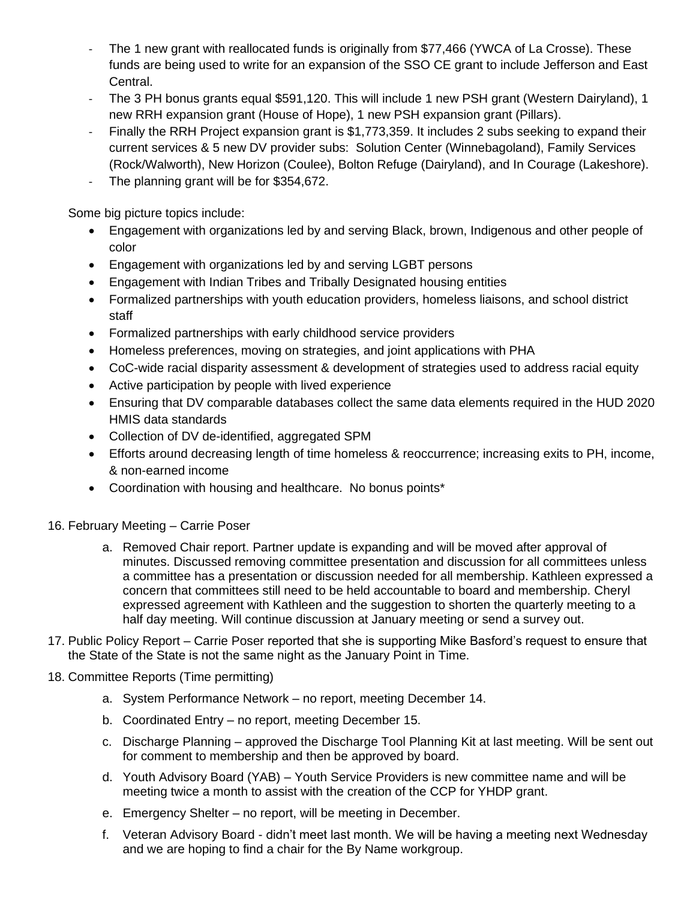- The 1 new grant with reallocated funds is originally from \$77,466 (YWCA of La Crosse). These funds are being used to write for an expansion of the SSO CE grant to include Jefferson and East Central.
- The 3 PH bonus grants equal \$591,120. This will include 1 new PSH grant (Western Dairyland), 1 new RRH expansion grant (House of Hope), 1 new PSH expansion grant (Pillars).
- Finally the RRH Project expansion grant is \$1,773,359. It includes 2 subs seeking to expand their current services & 5 new DV provider subs: Solution Center (Winnebagoland), Family Services (Rock/Walworth), New Horizon (Coulee), Bolton Refuge (Dairyland), and In Courage (Lakeshore).
- The planning grant will be for \$354,672.

Some big picture topics include:

- Engagement with organizations led by and serving Black, brown, Indigenous and other people of color
- Engagement with organizations led by and serving LGBT persons
- Engagement with Indian Tribes and Tribally Designated housing entities
- Formalized partnerships with youth education providers, homeless liaisons, and school district staff
- Formalized partnerships with early childhood service providers
- Homeless preferences, moving on strategies, and joint applications with PHA
- CoC-wide racial disparity assessment & development of strategies used to address racial equity
- Active participation by people with lived experience
- Ensuring that DV comparable databases collect the same data elements required in the HUD 2020 HMIS data standards
- Collection of DV de-identified, aggregated SPM
- Efforts around decreasing length of time homeless & reoccurrence; increasing exits to PH, income, & non-earned income
- Coordination with housing and healthcare. No bonus points\*
- 16. February Meeting Carrie Poser
	- a. Removed Chair report. Partner update is expanding and will be moved after approval of minutes. Discussed removing committee presentation and discussion for all committees unless a committee has a presentation or discussion needed for all membership. Kathleen expressed a concern that committees still need to be held accountable to board and membership. Cheryl expressed agreement with Kathleen and the suggestion to shorten the quarterly meeting to a half day meeting. Will continue discussion at January meeting or send a survey out.
- 17. Public Policy Report Carrie Poser reported that she is supporting Mike Basford's request to ensure that the State of the State is not the same night as the January Point in Time.

# 18. Committee Reports (Time permitting)

- a. System Performance Network no report, meeting December 14.
- b. Coordinated Entry no report, meeting December 15.
- c. Discharge Planning approved the Discharge Tool Planning Kit at last meeting. Will be sent out for comment to membership and then be approved by board.
- d. Youth Advisory Board (YAB) Youth Service Providers is new committee name and will be meeting twice a month to assist with the creation of the CCP for YHDP grant.
- e. Emergency Shelter no report, will be meeting in December.
- f. Veteran Advisory Board didn't meet last month. We will be having a meeting next Wednesday and we are hoping to find a chair for the By Name workgroup.